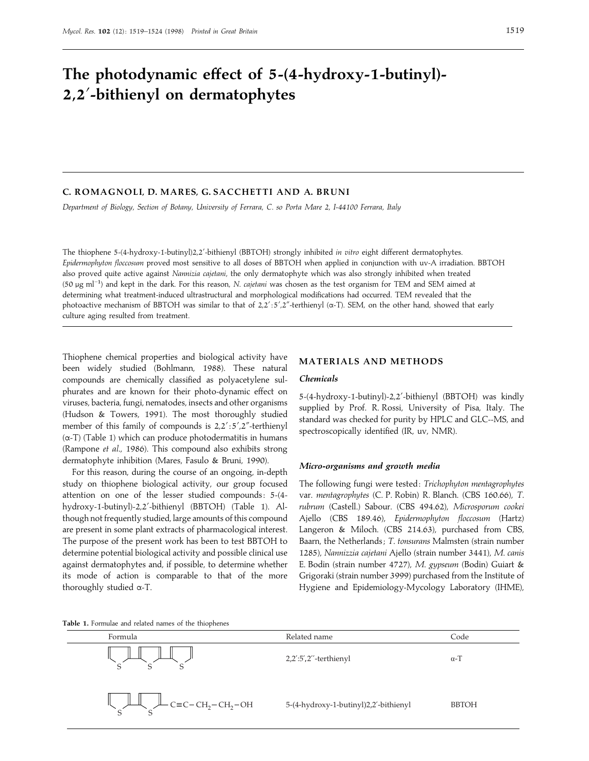# **The photodynamic effect of 5-(4-hydroxy-1-butinyl)- 2,2**«**-bithienyl on dermatophytes**

# **C. ROMAGNOLI, D. MARES, G. SACCHETTI AND A. BRUNI**

*Department of Biology*, *Section of Botany*, *University of Ferrara*, *C*. *so Porta Mare 2*, *I-44100 Ferrara*, *Italy*

The thiophene 5-(4-hydroxy-1-butinyl)2,2«-bithienyl (BBTOH) strongly inhibited *in vitro* eight different dermatophytes. *Epidermophyton floccosum* proved most sensitive to all doses of BBTOH when applied in conjunction with uv-A irradiation. BBTOH also proved quite active against *Nannizia cajetani*, the only dermatophyte which was also strongly inhibited when treated (50 <sup>µ</sup>g ml−") and kept in the dark. For this reason, *<sup>N</sup>*. *cajetani* was chosen as the test organism for TEM and SEM aimed at determining what treatment-induced ultrastructural and morphological modifications had occurred. TEM revealed that the photoactive mechanism of BBTOH was similar to that of  $2,2'$ :5',2"-terthienyl (α-T). SEM, on the other hand, showed that early culture aging resulted from treatment.

Thiophene chemical properties and biological activity have been widely studied (Bohlmann, 1988). These natural compounds are chemically classified as polyacetylene sulphurates and are known for their photo-dynamic effect on viruses, bacteria, fungi, nematodes, insects and other organisms (Hudson & Towers, 1991). The most thoroughly studied member of this family of compounds is  $2,2':5',2''$ -terthienyl (α-T) (Table 1) which can produce photodermatitis in humans (Rampone *et al*., 1986). This compound also exhibits strong dermatophyte inhibition (Mares, Fasulo & Bruni, 1990).

For this reason, during the course of an ongoing, in-depth study on thiophene biological activity, our group focused attention on one of the lesser studied compounds: 5-(4hydroxy-1-butinyl)-2,2'-bithienyl (BBTOH) (Table 1). Although not frequently studied, large amounts of this compound are present in some plant extracts of pharmacological interest. The purpose of the present work has been to test BBTOH to determine potential biological activity and possible clinical use against dermatophytes and, if possible, to determine whether its mode of action is comparable to that of the more thoroughly studied α-T.

# **MATERIALS AND METHODS**

### *Chemicals*

5-(4-hydroxy-1-butinyl)-2,2'-bithienyl (BBTOH) was kindly supplied by Prof. R. Rossi, University of Pisa, Italy. The standard was checked for purity by HPLC and GLC--MS, and spectroscopically identified (IR, uv, NMR).

#### *Micro-organisms and growth media*

The following fungi were tested : *Trichophyton mentagrophytes* var. *mentagrophytes* (C. P. Robin) R. Blanch. (CBS 160.66), *T*. *rubrum* (Castell.) Sabour. (CBS 494.62), *Microsporum cookei* Ajello (CBS 189.46), *Epidermophyton floccosum* (Hartz) Langeron & Miloch. (CBS 214.63), purchased from CBS, Baarn, the Netherlands ; *T*. *tonsurans* Malmsten (strain number 1285), *Nannizzia cajetani* Ajello (strain number 3441), *M*. *canis* E. Bodin (strain number 4727), *M*. *gypseum* (Bodin) Guiart & Grigoraki (strain number 3999) purchased from the Institute of Hygiene and Epidemiology-Mycology Laboratory (IHME),

## **Table 1.** Formulae and related names of the thiophenes

| Formula              | Related name                          | Code         |
|----------------------|---------------------------------------|--------------|
|                      | $2,2$ ':5',2"-terthienyl              | $\alpha$ -T  |
| $C = C - CH2-CH2-OH$ | 5-(4-hydroxy-1-butinyl)2,2'-bithienyl | <b>BBTOH</b> |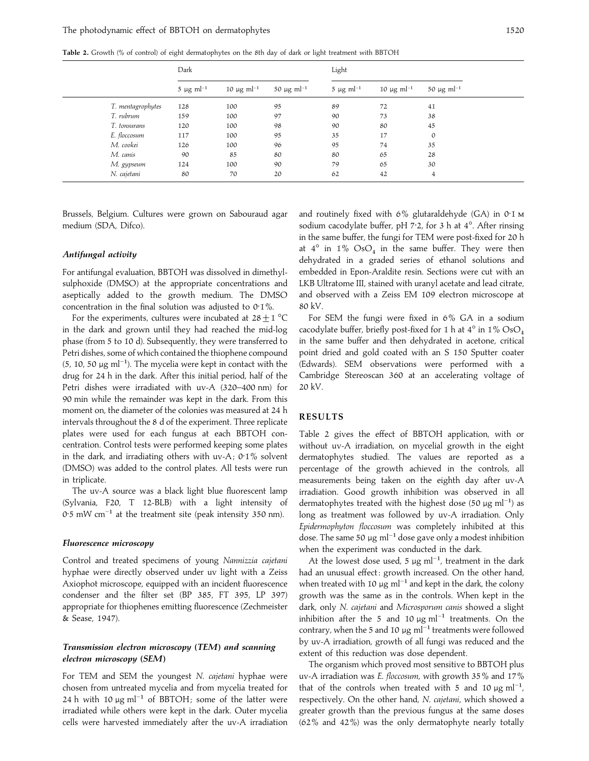**Table 2.** Growth (% of control) of eight dermatophytes on the 8th day of dark or light treatment with BBTOH

|                   | Dark                       |                       |                       | Light                      |                       |                             |
|-------------------|----------------------------|-----------------------|-----------------------|----------------------------|-----------------------|-----------------------------|
|                   | $5 \mu g$ ml <sup>-1</sup> | 10 $\mu$ g m $l^{-1}$ | 50 $\mu$ g m $l^{-1}$ | $5 \mu g$ ml <sup>-1</sup> | 10 $\mu$ g m $l^{-1}$ | 50 $\mu$ g ml <sup>-1</sup> |
| T. mentagrophytes | 128                        | 100                   | 95                    | 89                         | 72                    | 41                          |
| T. rubrum         | 159                        | 100                   | 97                    | 90                         | 73                    | 38                          |
| T. tonsurans      | 120                        | 100                   | 98                    | 90                         | 80                    | 45                          |
| E. floccosum      | 117                        | 100                   | 95                    | 35                         | 17                    | 0                           |
| M. cookei         | 126                        | 100                   | 96                    | 95                         | 74                    | 35                          |
| M. canis          | 90                         | 85                    | 80                    | 80                         | 65                    | 28                          |
| M. gypseum        | 124                        | 100                   | 90                    | 79                         | 65                    | 30                          |
| N. cajetani       | 80                         | 70                    | 20                    | 62                         | 42                    | 4                           |

Brussels, Belgium. Cultures were grown on Sabouraud agar medium (SDA, Difco).

#### *Antifungal activity*

For antifungal evaluation, BBTOH was dissolved in dimethylsulphoxide (DMSO) at the appropriate concentrations and aseptically added to the growth medium. The DMSO concentration in the final solution was adjusted to  $0.1\%$ .

For the experiments, cultures were incubated at  $28 \pm 1$  °C in the dark and grown until they had reached the mid-log phase (from 5 to 10 d). Subsequently, they were transferred to Petri dishes, some of which contained the thiophene compound (5, 10, 50 μg ml<sup>-1</sup>). The mycelia were kept in contact with the drug for 24 h in the dark. After this initial period, half of the Petri dishes were irradiated with uv-A (320–400 nm) for 90 min while the remainder was kept in the dark. From this moment on, the diameter of the colonies was measured at 24 h intervals throughout the 8 d of the experiment. Three replicate plates were used for each fungus at each BBTOH concentration. Control tests were performed keeping some plates in the dark, and irradiating others with uv-A;  $0.1\%$  solvent (DMSO) was added to the control plates. All tests were run in triplicate.

The uv-A source was a black light blue fluorescent lamp (Sylvania, F20, T 12-BLB) with a light intensity of 0.5 mW cm<sup>-1</sup> at the treatment site (peak intensity 350 nm).

## *Fluorescence microscopy*

Control and treated specimens of young *Nannizzia cajetani* hyphae were directly observed under uv light with a Zeiss Axiophot microscope, equipped with an incident fluorescence condenser and the filter set (BP 385, FT 395, LP 397) appropriate for thiophenes emitting fluorescence (Zechmeister & Sease, 1947).

# *Transmission electron microscopy* **(***TEM***)** *and scanning electron microscopy* **(***SEM***)**

For TEM and SEM the youngest *N*. *cajetani* hyphae were chosen from untreated mycelia and from mycelia treated for 24 h with 10  $\mu$ g ml<sup>-1</sup> of BBTOH; some of the latter were irradiated while others were kept in the dark. Outer mycelia cells were harvested immediately after the uv-A irradiation

and routinely fixed with  $6\%$  glutaraldehyde (GA) in  $0.1 \text{ m}$ sodium cacodylate buffer, pH  $7.2$ , for 3 h at  $4^\circ$ . After rinsing in the same buffer, the fungi for TEM were post-fixed for 20 h at  $4^\circ$  in  $1\%$  OsO<sub>4</sub> in the same buffer. They were then dehydrated in a graded series of ethanol solutions and embedded in Epon-Araldite resin. Sections were cut with an LKB Ultratome III, stained with uranyl acetate and lead citrate, and observed with a Zeiss EM 109 electron microscope at 80 kV.

For SEM the fungi were fixed in 6% GA in a sodium cacodylate buffer, briefly post-fixed for 1 h at  $4^{\circ}$  in  $1\%$  OsO<sub>4</sub> in the same buffer and then dehydrated in acetone, critical point dried and gold coated with an S 150 Sputter coater (Edwards). SEM observations were performed with a Cambridge Stereoscan 360 at an accelerating voltage of 20 kV.

# **RESULTS**

Table 2 gives the effect of BBTOH application, with or without uv-A irradiation, on mycelial growth in the eight dermatophytes studied. The values are reported as a percentage of the growth achieved in the controls, all measurements being taken on the eighth day after uv-A irradiation. Good growth inhibition was observed in all dermatophytes treated with the highest dose (50 µg m $l^{-1}$ ) as long as treatment was followed by uv-A irradiation. Only *Epidermophyton floccosum* was completely inhibited at this dose. The same 50  $\mu$ g ml<sup>-1</sup> dose gave only a modest inhibition when the experiment was conducted in the dark.

At the lowest dose used, 5  $\mu$ g ml<sup>-1</sup>, treatment in the dark had an unusual effect: growth increased. On the other hand, when treated with 10  $\mu$ g ml<sup>-1</sup> and kept in the dark, the colony growth was the same as in the controls. When kept in the dark, only *N*. *cajetani* and *Microsporum canis* showed a slight inhibition after the 5 and 10  $\mu$ g ml<sup>-1</sup> treatments. On the contrary, when the 5 and 10  $\mu$ g ml<sup>-1</sup> treatments were followed by uv-A irradiation, growth of all fungi was reduced and the extent of this reduction was dose dependent.

The organism which proved most sensitive to BBTOH plus uv-A irradiation was *E*. *floccosum*, with growth 35% and 17% that of the controls when treated with 5 and 10  $\mu$ g ml<sup>-1</sup>, respectively. On the other hand, *N*. *cajetani*, which showed a greater growth than the previous fungus at the same doses (62% and 42%) was the only dermatophyte nearly totally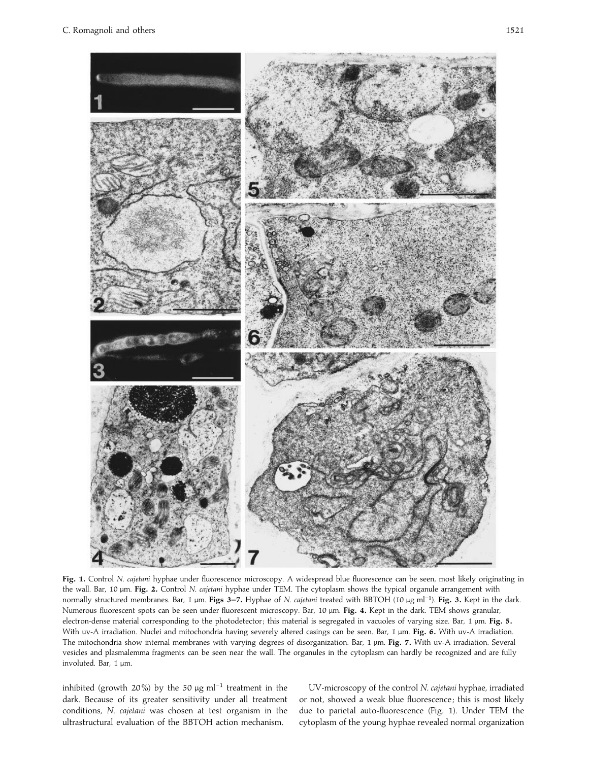

**Fig. 1.** Control *N*. *cajetani* hyphae under fluorescence microscopy. A widespread blue fluorescence can be seen, most likely originating in the wall. Bar, 10 µm. **Fig. 2.** Control *N*. *cajetani* hyphae under TEM. The cytoplasm shows the typical organule arrangement with normally structured membranes. Bar, 1 <sup>µ</sup>m. **Figs 3–7.** Hyphae of *<sup>N</sup>*. *cajetani* treated with BBTOH (10 <sup>µ</sup>g ml−"). **Fig. 3.** Kept in the dark. Numerous fluorescent spots can be seen under fluorescent microscopy. Bar, 10 µm. **Fig. 4.** Kept in the dark. TEM shows granular, electron-dense material corresponding to the photodetector; this material is segregated in vacuoles of varying size. Bar, 1 µm. Fig. 5. With uv-A irradiation. Nuclei and mitochondria having severely altered casings can be seen. Bar, 1 µm. **Fig. 6.** With uv-A irradiation. The mitochondria show internal membranes with varying degrees of disorganization. Bar, 1 µm. **Fig. 7.** With uv-A irradiation. Several vesicles and plasmalemma fragments can be seen near the wall. The organules in the cytoplasm can hardly be recognized and are fully involuted. Bar, 1 µm.

inhibited (growth 20%) by the 50  $\mu$ g ml<sup>-1</sup> treatment in the dark. Because of its greater sensitivity under all treatment conditions, *N*. *cajetani* was chosen at test organism in the ultrastructural evaluation of the BBTOH action mechanism.

UV-microscopy of the control *N*. *cajetani* hyphae, irradiated or not, showed a weak blue fluorescence ; this is most likely due to parietal auto-fluorescence (Fig. 1). Under TEM the cytoplasm of the young hyphae revealed normal organization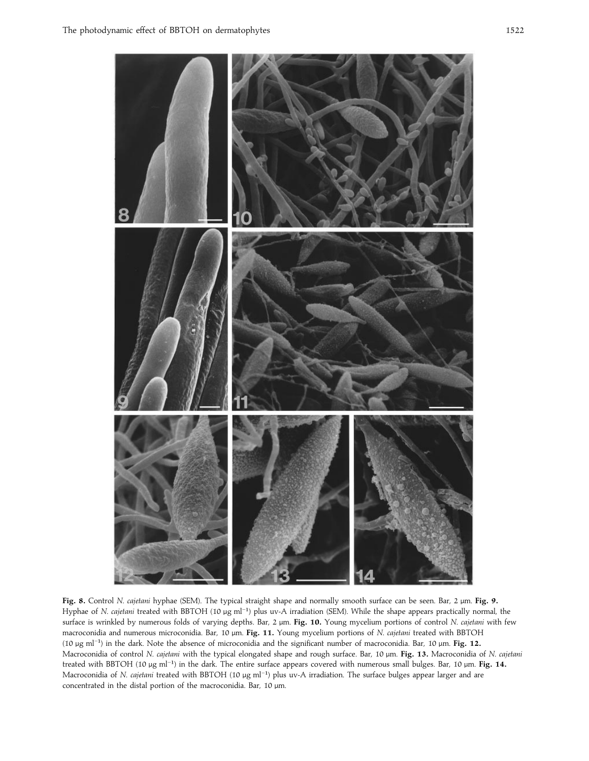

**Fig. 8.** Control *N*. *cajetani* hyphae (SEM). The typical straight shape and normally smooth surface can be seen. Bar, 2 µm. **Fig. 9.** Hyphae of *N. cajetani* treated with BBTOH (10 μg ml<sup>-1</sup>) plus uv-A irradiation (SEM). While the shape appears practically normal, the surface is wrinkled by numerous folds of varying depths. Bar, 2 µm. **Fig. 10.** Young mycelium portions of control *N*. *cajetani* with few macroconidia and numerous microconidia. Bar, 10 µm. **Fig. 11.** Young mycelium portions of *N*. *cajetani* treated with BBTOH (10 <sup>µ</sup>g ml−") in the dark. Note the absence of microconidia and the significant number of macroconidia. Bar, 10 <sup>µ</sup>m. **Fig. 12.** Macroconidia of control *N*. *cajetani* with the typical elongated shape and rough surface. Bar, 10 µm. **Fig. 13.** Macroconidia of *N*. *cajetani* treated with BBTOH (10 <sup>µ</sup>g ml−") in the dark. The entire surface appears covered with numerous small bulges. Bar, 10 <sup>µ</sup>m. **Fig. 14.** Macroconidia of *<sup>N</sup>*. *cajetani* treated with BBTOH (10 <sup>µ</sup>g ml−") plus uv-A irradiation. The surface bulges appear larger and are concentrated in the distal portion of the macroconidia. Bar, 10 µm.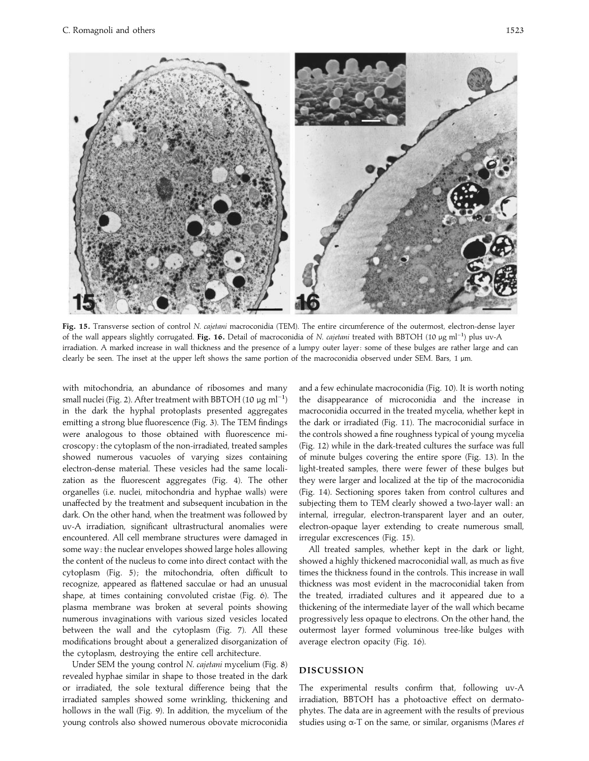

**Fig. 15.** Transverse section of control *N*. *cajetani* macroconidia (TEM). The entire circumference of the outermost, electron-dense layer of the wall appears slightly corrugated. **Fig. 16.** Detail of macroconidia of *<sup>N</sup>*. *cajetani* treated with BBTOH (10 <sup>µ</sup>g ml−") plus uv-A irradiation. A marked increase in wall thickness and the presence of a lumpy outer layer : some of these bulges are rather large and can clearly be seen. The inset at the upper left shows the same portion of the macroconidia observed under SEM. Bars, 1 µm.

with mitochondria, an abundance of ribosomes and many small nuclei (Fig. 2). After treatment with BBTOH (10  $\mu$ g ml<sup>-1</sup>) in the dark the hyphal protoplasts presented aggregates emitting a strong blue fluorescence (Fig. 3). The TEM findings were analogous to those obtained with fluorescence microscopy : the cytoplasm of the non-irradiated, treated samples showed numerous vacuoles of varying sizes containing electron-dense material. These vesicles had the same localization as the fluorescent aggregates (Fig. 4). The other organelles (i.e. nuclei, mitochondria and hyphae walls) were unaffected by the treatment and subsequent incubation in the dark. On the other hand, when the treatment was followed by uv-A irradiation, significant ultrastructural anomalies were encountered. All cell membrane structures were damaged in some way : the nuclear envelopes showed large holes allowing the content of the nucleus to come into direct contact with the cytoplasm (Fig. 5); the mitochondria, often difficult to recognize, appeared as flattened sacculae or had an unusual shape, at times containing convoluted cristae (Fig. 6). The plasma membrane was broken at several points showing numerous invaginations with various sized vesicles located between the wall and the cytoplasm (Fig. 7). All these modifications brought about a generalized disorganization of the cytoplasm, destroying the entire cell architecture.

Under SEM the young control *N*. *cajetani* mycelium (Fig. 8) revealed hyphae similar in shape to those treated in the dark or irradiated, the sole textural difference being that the irradiated samples showed some wrinkling, thickening and hollows in the wall (Fig. 9). In addition, the mycelium of the young controls also showed numerous obovate microconidia

and a few echinulate macroconidia (Fig. 10). It is worth noting the disappearance of microconidia and the increase in macroconidia occurred in the treated mycelia, whether kept in the dark or irradiated (Fig. 11). The macroconidial surface in the controls showed a fine roughness typical of young mycelia (Fig. 12) while in the dark-treated cultures the surface was full of minute bulges covering the entire spore (Fig. 13). In the light-treated samples, there were fewer of these bulges but they were larger and localized at the tip of the macroconidia (Fig. 14). Sectioning spores taken from control cultures and subjecting them to TEM clearly showed a two-layer wall: an internal, irregular, electron-transparent layer and an outer, electron-opaque layer extending to create numerous small, irregular excrescences (Fig. 15).

All treated samples, whether kept in the dark or light, showed a highly thickened macroconidial wall, as much as five times the thickness found in the controls. This increase in wall thickness was most evident in the macroconidial taken from the treated, irradiated cultures and it appeared due to a thickening of the intermediate layer of the wall which became progressively less opaque to electrons. On the other hand, the outermost layer formed voluminous tree-like bulges with average electron opacity (Fig. 16).

## **DISCUSSION**

The experimental results confirm that, following uv-A irradiation, BBTOH has a photoactive effect on dermatophytes. The data are in agreement with the results of previous studies using α-T on the same, or similar, organisms (Mares *et*